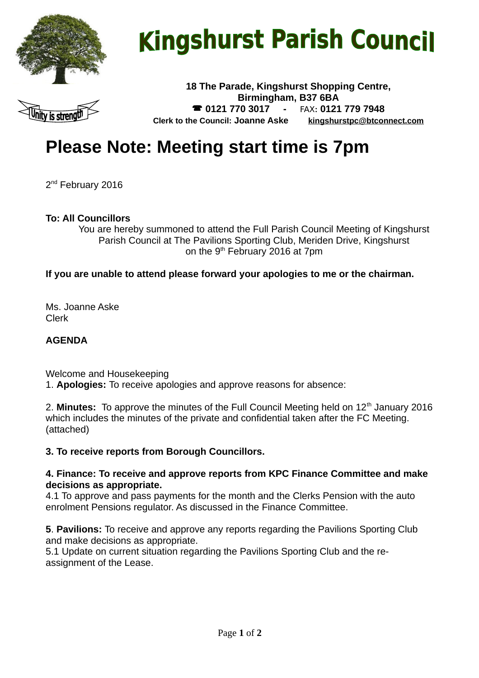

# **Kingshurst Parish Council**



**18 The Parade, Kingshurst Shopping Centre, Birmingham, B37 6BA 0121 770 3017 -** FAX**: 0121 779 7948 Clerk to the Council: Joanne Aske [kingshurstpc@btconnect.com](mailto:kingshurstpc@btconnect.com)**

# **Please Note: Meeting start time is 7pm**

2 nd February 2016

#### **To: All Councillors**

You are hereby summoned to attend the Full Parish Council Meeting of Kingshurst Parish Council at The Pavilions Sporting Club, Meriden Drive, Kingshurst on the 9th February 2016 at 7pm

#### **If you are unable to attend please forward your apologies to me or the chairman.**

Ms. Joanne Aske Clerk

#### **AGENDA**

Welcome and Housekeeping 1. **Apologies:** To receive apologies and approve reasons for absence:

2. **Minutes:** To approve the minutes of the Full Council Meeting held on 12<sup>th</sup> January 2016 which includes the minutes of the private and confidential taken after the FC Meeting. (attached)

#### **3. To receive reports from Borough Councillors.**

#### **4. Finance: To receive and approve reports from KPC Finance Committee and make decisions as appropriate.**

4.1 To approve and pass payments for the month and the Clerks Pension with the auto enrolment Pensions regulator. As discussed in the Finance Committee.

**5**. **Pavilions:** To receive and approve any reports regarding the Pavilions Sporting Club and make decisions as appropriate.

5.1 Update on current situation regarding the Pavilions Sporting Club and the reassignment of the Lease.